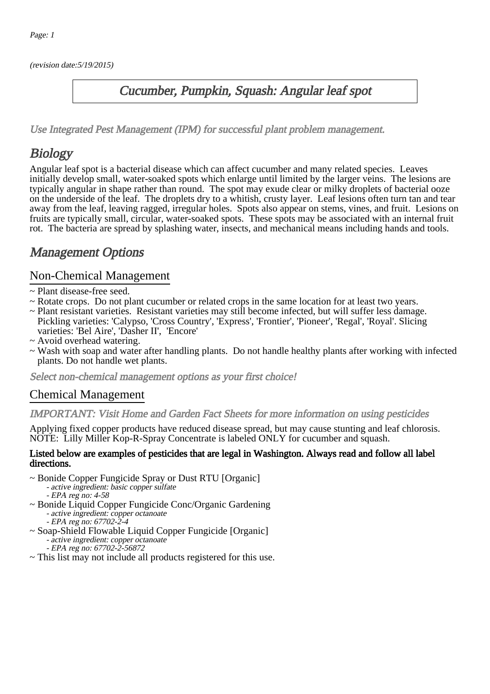(revision date:5/19/2015)

## Cucumber, Pumpkin, Squash: Angular leaf spot

[Use Integrated Pest Management \(IPM\) for successful plant problem management.](http://pep.wsu.edu/Home_Garden/H_G_Pesticide_info/urban_Integrated_Pest_Managmen/)

# **Biology**

Angular leaf spot is a bacterial disease which can affect cucumber and many related species. Leaves initially develop small, water-soaked spots which enlarge until limited by the larger veins. The lesions are typically angular in shape rather than round. The spot may exude clear or milky droplets of bacterial ooze on the underside of the leaf. The droplets dry to a whitish, crusty layer. Leaf lesions often turn tan and tear away from the leaf, leaving ragged, irregular holes. Spots also appear on stems, vines, and fruit. Lesions on fruits are typically small, circular, water-soaked spots. These spots may be associated with an internal fruit rot. The bacteria are spread by splashing water, insects, and mechanical means including hands and tools.

## Management Options

## Non-Chemical Management

- ~ Plant disease-free seed.
- ~ Rotate crops. Do not plant cucumber or related crops in the same location for at least two years.
- ~ Plant resistant varieties. Resistant varieties may still become infected, but will suffer less damage. Pickling varieties: 'Calypso, 'Cross Country', 'Express', 'Frontier', 'Pioneer', 'Regal', 'Royal'. Slicing varieties: 'Bel Aire', 'Dasher II', 'Encore'
- ~ Avoid overhead watering.
- ~ Wash with soap and water after handling plants. Do not handle healthy plants after working with infected plants. Do not handle wet plants.

Select non-chemical management options as your first choice!

### Chemical Management

#### IMPORTANT: [Visit Home and Garden Fact Sheets for more information on using pesticides](http://pep.wsu.edu/Home_Garden/H_G_Pesticide_info/)

Applying fixed copper products have reduced disease spread, but may cause stunting and leaf chlorosis. NOTE: Lilly Miller Kop-R-Spray Concentrate is labeled ONLY for cucumber and squash.

#### Listed below are examples of pesticides that are legal in Washington. Always read and follow all label directions.

- ~ Bonide Copper Fungicide Spray or Dust RTU [Organic] - active ingredient: basic copper sulfate - EPA reg no: 4-58
- ~ Bonide Liquid Copper Fungicide Conc/Organic Gardening - active ingredient: copper octanoate EPA reg no: 67702-2-4
- ~ Soap-Shield Flowable Liquid Copper Fungicide [Organic] - active ingredient: copper octanoate - EPA reg no: 67702-2-56872
- ~ This list may not include all products registered for this use.